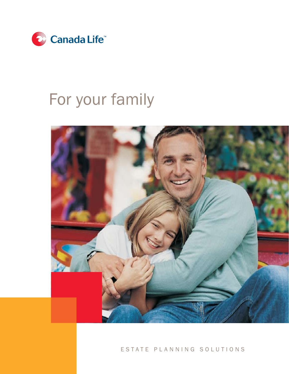

# For your family



### ESTATE PLANNING SOLUTIONS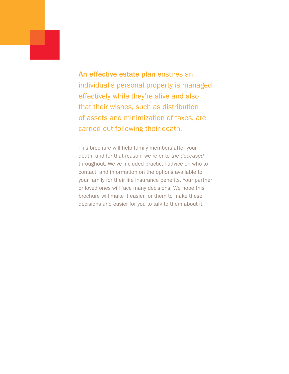An effective estate plan ensures an individual's personal property is managed effectively while they're alive and also that their wishes, such as distribution of assets and minimization of taxes, are carried out following their death.

This brochure will help family members after your death, and for that reason, we refer to *the deceased* throughout. We've included practical advice on who to contact, and information on the options available to your family for their life insurance benefits. Your partner or loved ones will face many decisions. We hope this brochure will make it easier for them to make these decisions and easier for you to talk to them about it.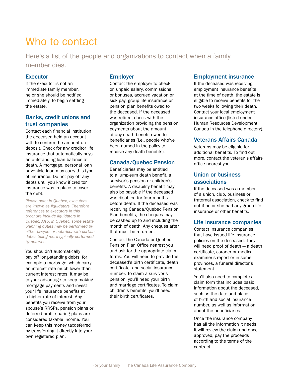## Who to contact

Here's a list of the people and organizations to contact when a family member dies.

#### **Executor**

If the executor is not an immediate family member, he or she should be notified immediately, to begin settling the estate.

#### Banks, credit unions and trust companies

Contact each financial institution the deceased held an account with to confirm the amount on deposit. Check for any creditor life insurance that automatically pays an outstanding loan balance at death. A mortgage, personal loan or vehicle loan may carry this type of insurance. Do not pay off any debts until you know if creditor insurance was in place to cover the debt.

*Please note: In Quebec, executors are known as liquidators. Therefore references to executors in this brochure include liquidators in Quebec. Also, in Quebec, some estate planning duties may be performed by either lawyers or notaries, with certain duties being more typically performed by notaries.*

You shouldn't automatically pay off long-standing debts, for example a mortgage, which carry an interest rate much lower than current interest rates. It may be to your advantage to keep making mortgage payments and invest your life insurance benefits at a higher rate of interest. Any benefits you receive from your spouse's RRSPs, pension plans or deferred profit sharing plans are considered taxable income. You can keep this money taxdeferred by transferring it directly into your own registered plan.

#### Employer

Contact the employer to check on unpaid salary, commissions or bonuses, accrued vacation or sick pay, group life insurance or pension plan benefits owed to the deceased. If the deceased was retired, check with the organization providing the pension payments about the amount of any death benefit owed to beneficiaries (i.e., people who've been named in the policy to receive any death benefits).

#### Canada/Quebec Pension

Beneficiaries may be entitled to a lump-sum death benefit, a survivor's pension or children's benefits. A disability benefit may also be payable if the deceased was disabled for four months before death. If the deceased was receiving Canada/Quebec Pension Plan benefits, the cheques may be cashed up to and including the month of death. Any cheques after that must be returned.

Contact the Canada or Quebec Pension Plan Office nearest you and ask for the appropriate claim forms. You will need to provide the deceased's birth certificate, death certificate, and social insurance number. To claim a survivor's pension, you'll need your birth and marriage certificates. To claim children's benefits, you'll need their birth certificates.

#### Employment insurance

If the deceased was receiving employment insurance benefits at the time of death, the estate is eligible to receive benefits for the two weeks following their death. Contact your local employment insurance office (listed under Human Resources Development Canada in the telephone directory).

#### Veterans Affairs Canada

Veterans may be eligible for additional benefits. To find out more, contact the veteran's affairs office nearest you.

#### Union or business associations

If the deceased was a member of a union, club, business or fraternal association, check to find out if he or she had any group life insurance or other benefits.

#### Life insurance companies

Contact insurance companies that have issued life insurance policies on the deceased. They will need proof of death — a death certificate, coroner or medical examiner's report or in some provinces, a funeral director's statement.

You'll also need to complete a claim form that includes basic information about the deceased, such as the date and place of birth and social insurance number, as well as information about the beneficiaries.

Once the insurance company has all the information it needs, it will review the claim and once approved, pay the proceeds according to the terms of the contract.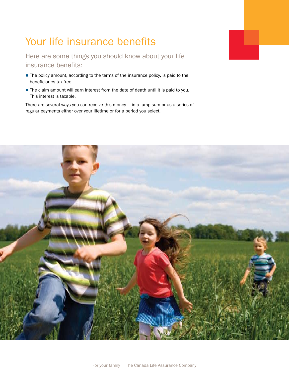# Your life insurance benefits

Here are some things you should know about your life insurance benefits:

- The policy amount, according to the terms of the insurance policy, is paid to the beneficiaries tax-free.
- The claim amount will earn interest from the date of death until it is paid to you. This interest is taxable.

There are several ways you can receive this money — in a lump sum or as a series of regular payments either over your lifetime or for a period you select.

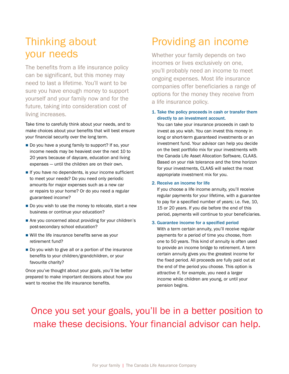## Thinking about your needs

The benefits from a life insurance policy can be significant, but this money may need to last a lifetime. You'll want to be sure you have enough money to support yourself and your family now and for the future, taking into consideration cost of living increases.

Take time to carefully think about your needs, and to make choices about your benefits that will best ensure your financial security over the long term.

- Do you have a young family to support? If so, your income needs may be heaviest over the next 10 to 20 years because of daycare, education and living expenses — until the children are on their own.
- If you have no dependents, is your income sufficient to meet your needs? Do you need only periodic amounts for major expenses such as a new car or repairs to your home? Or do you need a regular guaranteed income?
- Do you wish to use the money to relocate, start a new business or continue your education?
- Are you concerned about providing for your children's post-secondary school education?
- Will the life insurance benefits serve as your retirement fund?
- Do you wish to give all or a portion of the insurance benefits to your children/grandchildren, or your favourite charity?

Once you've thought about your goals, you'll be better prepared to make important decisions about how you want to receive the life insurance benefits.

## Providing an income

Whether your family depends on two incomes or lives exclusively on one, you'll probably need an income to meet ongoing expenses. Most life insurance companies offer beneficiaries a range of options for the money they receive from a life insurance policy.

#### 1. Take the policy proceeds in cash or transfer them directly to an investment account.

You can take your insurance proceeds in cash to invest as you wish. You can invest this money in long or short-term guaranteed investments or an investment fund. Your advisor can help you decide on the best portfolio mix for your investments with the Canada Life Asset Allocation Software, CLAAS. Based on your risk tolerance and the time horizon for your investments, CLAAS will select the most appropriate investment mix for you.

#### 2. Receive an income for life

If you choose a life income annuity, you'll receive regular payments for your lifetime, with a guarantee to pay for a specified number of years; i.e. five, 10, 15 or 20 years. If you die before the end of this period, payments will continue to your beneficiaries.

#### 3. Guarantee income for a specified period

With a term certain annuity, you'll receive regular payments for a period of time you choose, from one to 50 years. This kind of annuity is often used to provide an income bridge to retirement. A term certain annuity gives you the greatest income for the fixed period. All proceeds are fully paid out at the end of the period you choose. This option is attractive if, for example, you need a larger income while children are young, or until your pension begins.

### Once you set your goals, you'll be in a better position to make these decisions. Your financial advisor can help.